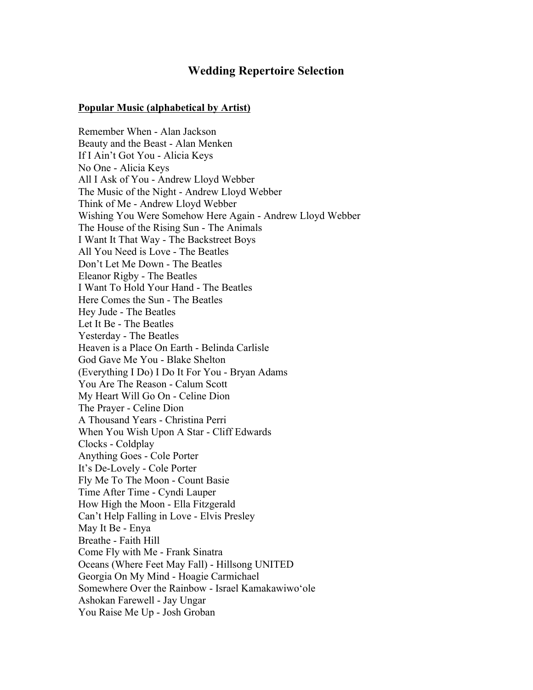## **Wedding Repertoire Selection**

## **Popular Music (alphabetical by Artist)**

Remember When - Alan Jackson Beauty and the Beast - Alan Menken If I Ain't Got You - Alicia Keys No One - Alicia Keys All I Ask of You - Andrew Lloyd Webber The Music of the Night - Andrew Lloyd Webber Think of Me - Andrew Lloyd Webber Wishing You Were Somehow Here Again - Andrew Lloyd Webber The House of the Rising Sun - The Animals I Want It That Way - The Backstreet Boys All You Need is Love - The Beatles Don't Let Me Down - The Beatles Eleanor Rigby - The Beatles I Want To Hold Your Hand - The Beatles Here Comes the Sun - The Beatles Hey Jude - The Beatles Let It Be - The Beatles Yesterday - The Beatles Heaven is a Place On Earth - Belinda Carlisle God Gave Me You - Blake Shelton (Everything I Do) I Do It For You - Bryan Adams You Are The Reason - Calum Scott My Heart Will Go On - Celine Dion The Prayer - Celine Dion A Thousand Years - Christina Perri When You Wish Upon A Star - Cliff Edwards Clocks - Coldplay Anything Goes - Cole Porter It's De-Lovely - Cole Porter Fly Me To The Moon - Count Basie Time After Time - Cyndi Lauper How High the Moon - Ella Fitzgerald Can't Help Falling in Love - Elvis Presley May It Be - Enya Breathe - Faith Hill Come Fly with Me - Frank Sinatra Oceans (Where Feet May Fall) - Hillsong UNITED Georgia On My Mind - Hoagie Carmichael Somewhere Over the Rainbow - Israel Kamakawiwoʻole Ashokan Farewell - Jay Ungar You Raise Me Up - Josh Groban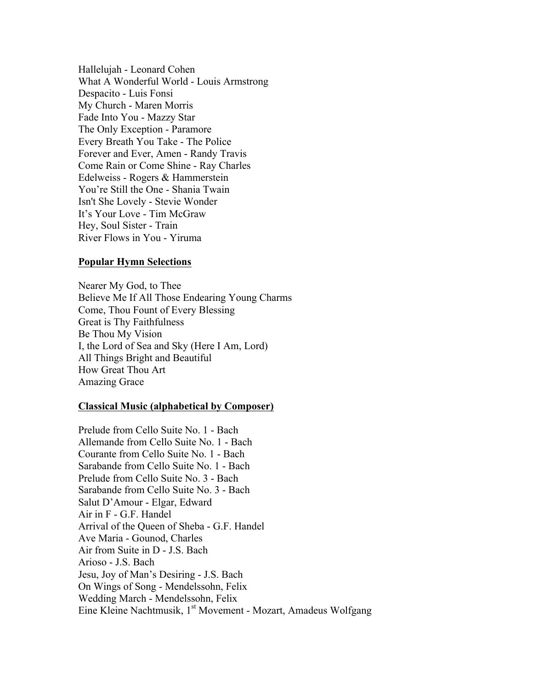Hallelujah - Leonard Cohen What A Wonderful World - Louis Armstrong Despacito - Luis Fonsi My Church - Maren Morris Fade Into You - Mazzy Star The Only Exception - Paramore Every Breath You Take - The Police Forever and Ever, Amen - Randy Travis Come Rain or Come Shine - Ray Charles Edelweiss - Rogers & Hammerstein You're Still the One - Shania Twain Isn't She Lovely - Stevie Wonder It's Your Love - Tim McGraw Hey, Soul Sister - Train River Flows in You - Yiruma

## **Popular Hymn Selections**

Nearer My God, to Thee Believe Me If All Those Endearing Young Charms Come, Thou Fount of Every Blessing Great is Thy Faithfulness Be Thou My Vision I, the Lord of Sea and Sky (Here I Am, Lord) All Things Bright and Beautiful How Great Thou Art Amazing Grace

## **Classical Music (alphabetical by Composer)**

Prelude from Cello Suite No. 1 - Bach Allemande from Cello Suite No. 1 - Bach Courante from Cello Suite No. 1 - Bach Sarabande from Cello Suite No. 1 - Bach Prelude from Cello Suite No. 3 - Bach Sarabande from Cello Suite No. 3 - Bach Salut D'Amour - Elgar, Edward Air in F - G.F. Handel Arrival of the Queen of Sheba - G.F. Handel Ave Maria - Gounod, Charles Air from Suite in D - J.S. Bach Arioso - J.S. Bach Jesu, Joy of Man's Desiring - J.S. Bach On Wings of Song - Mendelssohn, Felix Wedding March - Mendelssohn, Felix Eine Kleine Nachtmusik, 1<sup>st</sup> Movement - Mozart, Amadeus Wolfgang